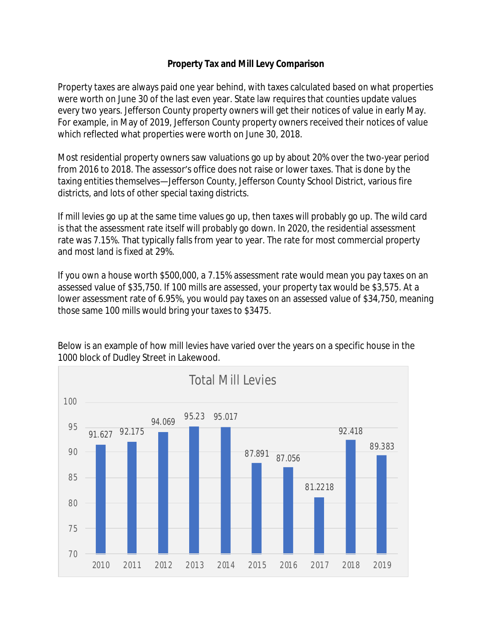## **Property Tax and Mill Levy Comparison**

Property taxes are always paid one year behind, with taxes calculated based on what properties were worth on June 30 of the last even year. State law requires that counties update values every two years. Jefferson County property owners will get their notices of value in early May. For example, in May of 2019, Jefferson County property owners received their notices of value which reflected what properties were worth on June 30, 2018.

Most residential property owners saw valuations go up by about 20% over the two-year period from 2016 to 2018. The assessor's office does not raise or lower taxes. That is done by the taxing entities themselves—Jefferson County, Jefferson County School District, various fire districts, and lots of other special taxing districts.

If mill levies go up at the same time values go up, then taxes will probably go up. The wild card is that the assessment rate itself will probably go down. In 2020, the residential assessment rate was 7.15%. That typically falls from year to year. The rate for most commercial property and most land is fixed at 29%.

If you own a house worth \$500,000, a 7.15% assessment rate would mean you pay taxes on an assessed value of \$35,750. If 100 mills are assessed, your property tax would be \$3,575. At a lower assessment rate of 6.95%, you would pay taxes on an assessed value of \$34,750, meaning those same 100 mills would bring your taxes to \$3475.



Below is an example of how mill levies have varied over the years on a specific house in the 1000 block of Dudley Street in Lakewood.